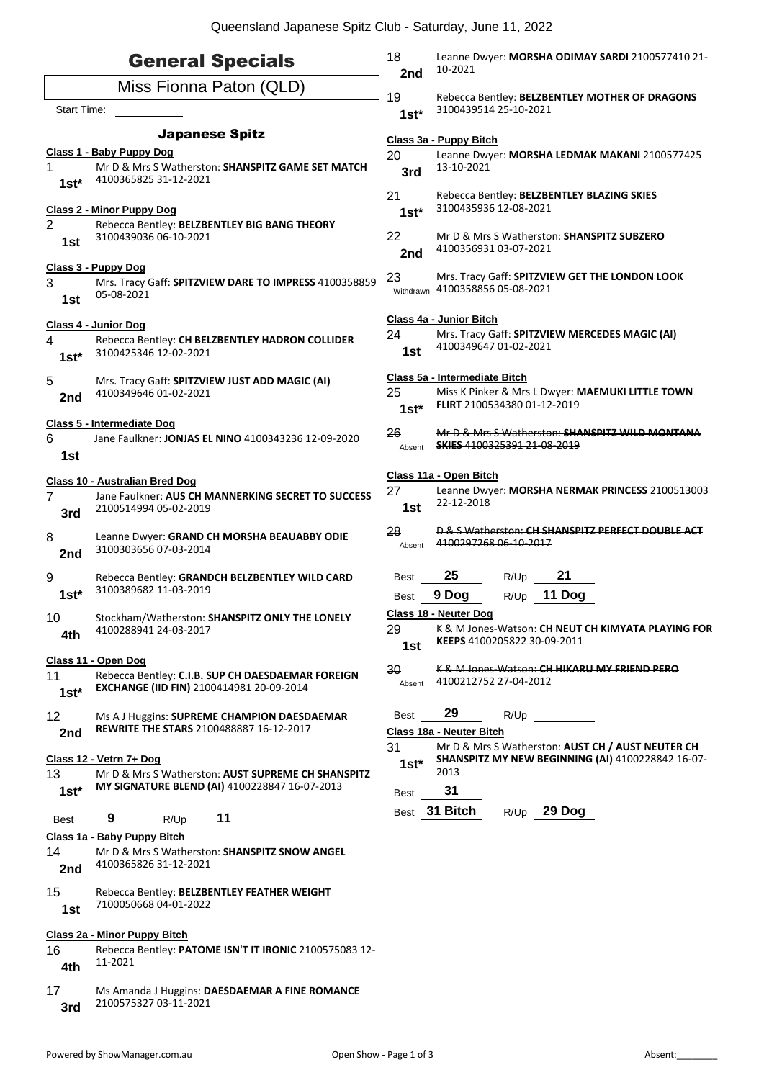|                           | <b>General Specials</b>                                                     | 18<br>2nd       | Leanne Dwyer: MORSHA ODIMAY SARDI 2100577410 21-<br>10-2021                                            |
|---------------------------|-----------------------------------------------------------------------------|-----------------|--------------------------------------------------------------------------------------------------------|
|                           | Miss Fionna Paton (QLD)                                                     | 19              | Rebecca Bentley: BELZBENTLEY MOTHER OF DRAGONS                                                         |
| <b>Start Time:</b>        |                                                                             | $1st*$          | 3100439514 25-10-2021                                                                                  |
|                           | <b>Japanese Spitz</b>                                                       |                 | Class 3a - Puppy Bitch                                                                                 |
|                           | Class 1 - Baby Puppy Dog                                                    | 20              | Leanne Dwyer: MORSHA LEDMAK MAKANI 2100577425                                                          |
| 1<br>$1st*$               | Mr D & Mrs S Watherston: SHANSPITZ GAME SET MATCH<br>4100365825 31-12-2021  | 3rd             | 13-10-2021                                                                                             |
| Class 2 - Minor Puppy Dog |                                                                             | 21<br>$1st*$    | Rebecca Bentley: BELZBENTLEY BLAZING SKIES<br>3100435936 12-08-2021                                    |
| $\overline{2}$            | Rebecca Bentley: BELZBENTLEY BIG BANG THEORY                                |                 |                                                                                                        |
| 1st                       | 3100439036 06-10-2021                                                       | 22<br>2nd       | Mr D & Mrs S Watherston: <b>SHANSPITZ SUBZERO</b><br>4100356931 03-07-2021                             |
|                           | Class 3 - Puppy Dog                                                         |                 |                                                                                                        |
| 3<br>1st                  | Mrs. Tracy Gaff: SPITZVIEW DARE TO IMPRESS 4100358859<br>05-08-2021         | 23              | Mrs. Tracy Gaff: SPITZVIEW GET THE LONDON LOOK<br>Withdrawn 4100358856 05-08-2021                      |
|                           | Class 4 - Junior Dog                                                        |                 | Class 4a - Junior Bitch                                                                                |
| 4                         | Rebecca Bentley: CH BELZBENTLEY HADRON COLLIDER                             | 24              | Mrs. Tracy Gaff: SPITZVIEW MERCEDES MAGIC (AI)<br>4100349647 01-02-2021                                |
| $1st*$                    | 3100425346 12-02-2021                                                       | 1st             |                                                                                                        |
| 5                         | Mrs. Tracy Gaff: SPITZVIEW JUST ADD MAGIC (AI)<br>4100349646 01-02-2021     |                 | Class 5a - Intermediate Bitch                                                                          |
| 2nd                       |                                                                             | 25<br>$1st*$    | Miss K Pinker & Mrs L Dwyer: MAEMUKI LITTLE TOWN<br>FLIRT 2100534380 01-12-2019                        |
|                           | Class 5 - Intermediate Dog                                                  |                 |                                                                                                        |
| 6<br>1st                  | Jane Faulkner: JONJAS EL NINO 4100343236 12-09-2020                         | 26<br>Absent    | Mr D & Mrs S Watherston: SHANSPITZ WILD MONTANA<br><b>SKIES 4100325391 21 08 2019</b>                  |
|                           | Class 10 - Australian Bred Dog                                              |                 | Class 11a - Open Bitch                                                                                 |
| 7<br>3rd                  | Jane Faulkner: AUS CH MANNERKING SECRET TO SUCCESS<br>2100514994 05-02-2019 | 27<br>1st       | Leanne Dwyer: MORSHA NERMAK PRINCESS 2100513003<br>22-12-2018                                          |
| 8<br>2nd                  | Leanne Dwyer: GRAND CH MORSHA BEAUABBY ODIE<br>3100303656 07-03-2014        | 28<br>Absent    | D & S Watherston: CH SHANSPITZ PERFECT DOUBLE ACT<br>4100297268 06-10-2017                             |
| 9                         | Rebecca Bentley: GRANDCH BELZBENTLEY WILD CARD                              | <b>Best</b>     | 25<br>21<br>R/Up                                                                                       |
| $1st*$                    | 3100389682 11-03-2019                                                       | Best            | 9 Dog<br>11 Dog<br>R/Up                                                                                |
| 10<br>4th                 | Stockham/Watherston: SHANSPITZ ONLY THE LONELY<br>4100288941 24-03-2017     | 29              | Class 18 - Neuter Dog<br>K & M Jones-Watson: CH NEUT CH KIMYATA PLAYING FOR                            |
|                           |                                                                             | 1st             | KEEPS 4100205822 30-09-2011                                                                            |
| 11                        | Class 11 - Open Dog<br>Rebecca Bentley: C.I.B. SUP CH DAESDAEMAR FOREIGN    | 30 <sub>o</sub> | K & M Jones Watson: CH HIKARU MY FRIEND PERO                                                           |
| $1st*$                    | EXCHANGE (IID FIN) 2100414981 20-09-2014                                    | Absent          | 4100212752 27-04-2012                                                                                  |
| 12                        | Ms A J Huggins: SUPREME CHAMPION DAESDAEMAR                                 | <b>Best</b>     | 29<br>R/Up                                                                                             |
| 2nd                       | <b>REWRITE THE STARS 2100488887 16-12-2017</b>                              |                 | Class 18a - Neuter Bitch                                                                               |
|                           | Class 12 - Vetrn 7+ Dog                                                     | 31<br>$1st^*$   | Mr D & Mrs S Watherston: AUST CH / AUST NEUTER CH<br>SHANSPITZ MY NEW BEGINNING (AI) 4100228842 16-07- |
| 13                        | Mr D & Mrs S Watherston: AUST SUPREME CH SHANSPITZ                          |                 | 2013                                                                                                   |
| $1st*$                    | MY SIGNATURE BLEND (AI) 4100228847 16-07-2013                               | <b>Best</b>     | 31                                                                                                     |
| <b>Best</b>               | 11<br>9<br>R/Up                                                             |                 | Best 31 Bitch<br>$R/Up$ 29 Dog                                                                         |
|                           | Class 1a - Baby Puppy Bitch                                                 |                 |                                                                                                        |
| 14<br>2nd                 | Mr D & Mrs S Watherston: SHANSPITZ SNOW ANGEL<br>4100365826 31-12-2021      |                 |                                                                                                        |
| 15<br>1st                 | Rebecca Bentley: BELZBENTLEY FEATHER WEIGHT<br>7100050668 04-01-2022        |                 |                                                                                                        |
|                           | Class 2a - Minor Puppy Bitch                                                |                 |                                                                                                        |
| 16<br>4th                 | Rebecca Bentley: PATOME ISN'T IT IRONIC 2100575083 12-<br>11-2021           |                 |                                                                                                        |
| 17                        | Ms Amanda J Huggins: DAESDAEMAR A FINE ROMANCE                              |                 |                                                                                                        |

2100575327 03-11-2021 **3rd**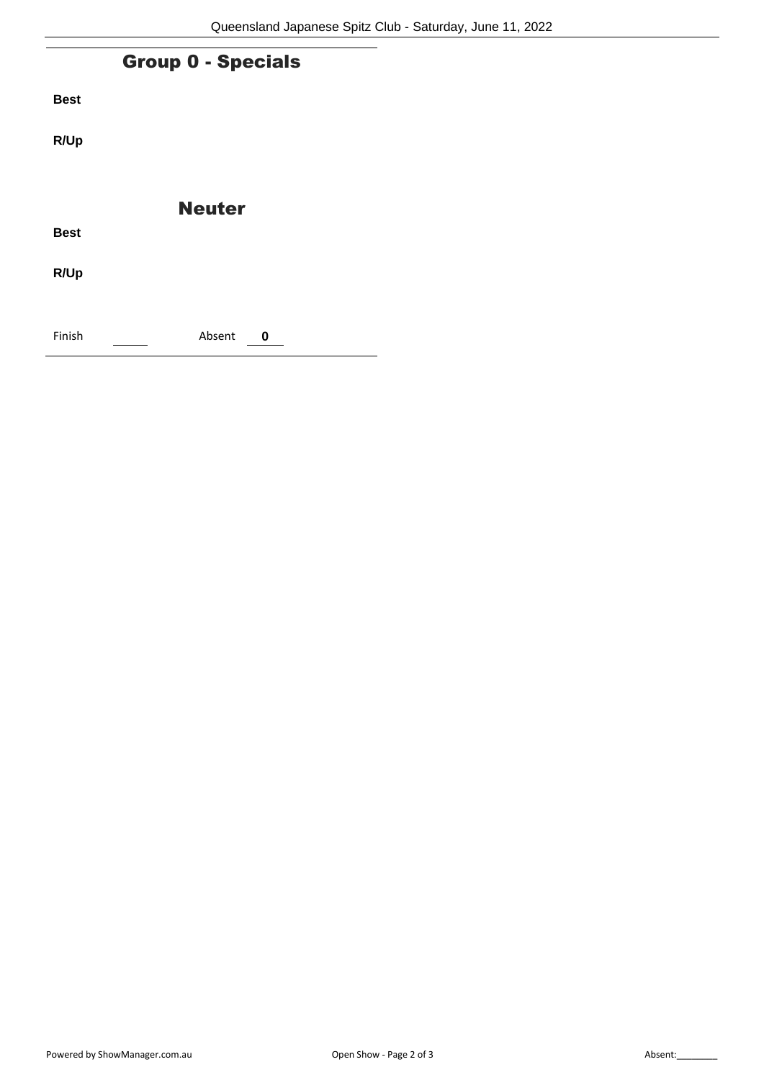| <b>Group 0 - Specials</b> |               |  |  |
|---------------------------|---------------|--|--|
| <b>Best</b>               |               |  |  |
| R/Up                      |               |  |  |
|                           |               |  |  |
|                           | <b>Neuter</b> |  |  |
| <b>Best</b>               |               |  |  |
| R/Up                      |               |  |  |
|                           |               |  |  |
| Finish                    | Absent<br>0   |  |  |